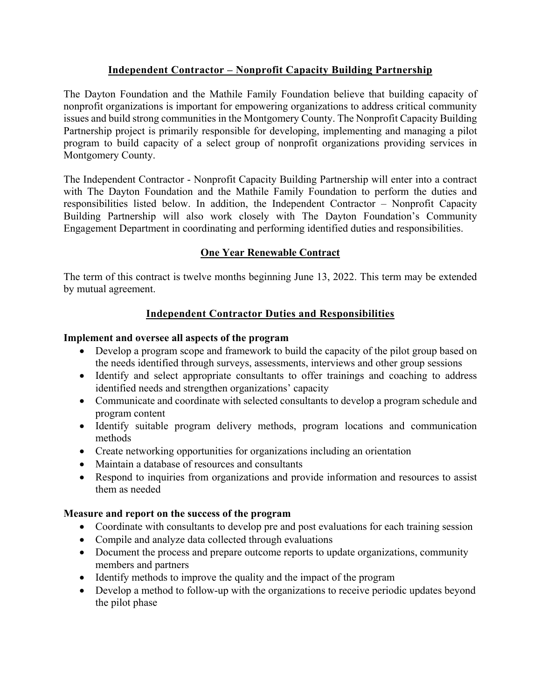## **Independent Contractor – Nonprofit Capacity Building Partnership**

The Dayton Foundation and the Mathile Family Foundation believe that building capacity of nonprofit organizations is important for empowering organizations to address critical community issues and build strong communities in the Montgomery County. The Nonprofit Capacity Building Partnership project is primarily responsible for developing, implementing and managing a pilot program to build capacity of a select group of nonprofit organizations providing services in Montgomery County.

The Independent Contractor - Nonprofit Capacity Building Partnership will enter into a contract with The Dayton Foundation and the Mathile Family Foundation to perform the duties and responsibilities listed below. In addition, the Independent Contractor – Nonprofit Capacity Building Partnership will also work closely with The Dayton Foundation's Community Engagement Department in coordinating and performing identified duties and responsibilities.

### **One Year Renewable Contract**

The term of this contract is twelve months beginning June 13, 2022. This term may be extended by mutual agreement.

### **Independent Contractor Duties and Responsibilities**

### **Implement and oversee all aspects of the program**

- Develop a program scope and framework to build the capacity of the pilot group based on the needs identified through surveys, assessments, interviews and other group sessions
- Identify and select appropriate consultants to offer trainings and coaching to address identified needs and strengthen organizations' capacity
- Communicate and coordinate with selected consultants to develop a program schedule and program content
- Identify suitable program delivery methods, program locations and communication methods
- Create networking opportunities for organizations including an orientation
- Maintain a database of resources and consultants
- Respond to inquiries from organizations and provide information and resources to assist them as needed

### **Measure and report on the success of the program**

- Coordinate with consultants to develop pre and post evaluations for each training session
- Compile and analyze data collected through evaluations
- Document the process and prepare outcome reports to update organizations, community members and partners
- Identify methods to improve the quality and the impact of the program
- Develop a method to follow-up with the organizations to receive periodic updates beyond the pilot phase